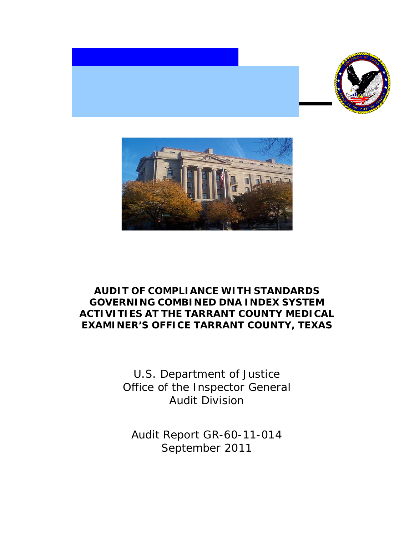



# **AUDIT OF COMPLIANCE WITH STANDARDS GOVERNING COMBINED DNA INDEX SYSTEM ACTIVITIES AT THE TARRANT COUNTY MEDICAL EXAMINER'S OFFICE TARRANT COUNTY, TEXAS**

U.S. Department of Justice Office of the Inspector General Audit Division

Audit Report GR-60-11-014 September 2011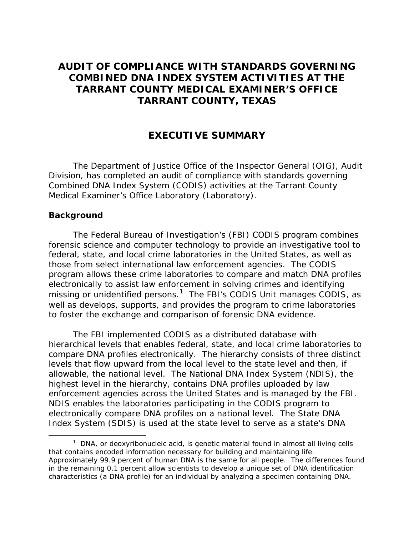## **AUDIT OF COMPLIANCE WITH STANDARDS GOVERNING COMBINED DNA INDEX SYSTEM ACTIVITIES AT THE TARRANT COUNTY MEDICAL EXAMINER'S OFFICE TARRANT COUNTY, TEXAS**

## **EXECUTIVE SUMMARY**

The Department of Justice Office of the Inspector General (OIG), Audit Division, has completed an audit of compliance with standards governing Combined DNA Index System (CODIS) activities at the Tarrant County Medical Examiner's Office Laboratory (Laboratory).

#### **Background**

The Federal Bureau of Investigation's (FBI) CODIS program combines forensic science and computer technology to provide an investigative tool to federal, state, and local crime laboratories in the United States, as well as those from select international law enforcement agencies. The CODIS program allows these crime laboratories to compare and match DNA profiles electronically to assist law enforcement in solving crimes and identifying missing or unidentified persons. $1$  The FBI's CODIS Unit manages CODIS, as well as develops, supports, and provides the program to crime laboratories to foster the exchange and comparison of forensic DNA evidence.

The FBI implemented CODIS as a distributed database with hierarchical levels that enables federal, state, and local crime laboratories to compare DNA profiles electronically. The hierarchy consists of three distinct levels that flow upward from the local level to the state level and then, if allowable, the national level. The National DNA Index System (NDIS), the highest level in the hierarchy, contains DNA profiles uploaded by law enforcement agencies across the United States and is managed by the FBI. NDIS enables the laboratories participating in the CODIS program to electronically compare DNA profiles on a national level. The State DNA Index System (SDIS) is used at the state level to serve as a state's DNA

<span id="page-1-0"></span> $1$  DNA, or deoxyribonucleic acid, is genetic material found in almost all living cells that contains encoded information necessary for building and maintaining life. Approximately 99.9 percent of human DNA is the same for all people. The differences found in the remaining 0.1 percent allow scientists to develop a unique set of DNA identification characteristics (a DNA profile) for an individual by analyzing a specimen containing DNA.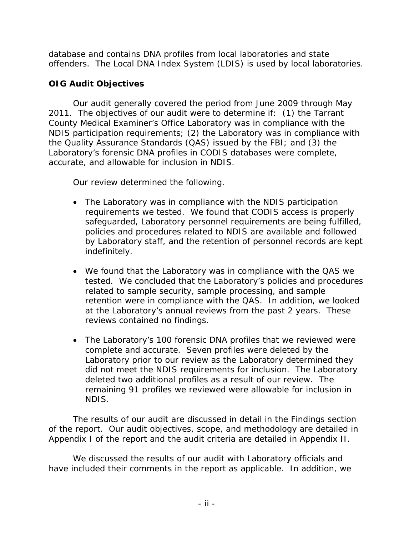database and contains DNA profiles from local laboratories and state offenders. The Local DNA Index System (LDIS) is used by local laboratories.

## **OIG Audit Objectives**

Our audit generally covered the period from June 2009 through May 2011. The objectives of our audit were to determine if: (1) the Tarrant County Medical Examiner's Office Laboratory was in compliance with the NDIS participation requirements; (2) the Laboratory was in compliance with the Quality Assurance Standards (QAS) issued by the FBI; and (3) the Laboratory's forensic DNA profiles in CODIS databases were complete, accurate, and allowable for inclusion in NDIS.

Our review determined the following.

- The Laboratory was in compliance with the NDIS participation requirements we tested. We found that CODIS access is properly safeguarded, Laboratory personnel requirements are being fulfilled, policies and procedures related to NDIS are available and followed by Laboratory staff, and the retention of personnel records are kept indefinitely.
- We found that the Laboratory was in compliance with the QAS we tested. We concluded that the Laboratory's policies and procedures related to sample security, sample processing, and sample retention were in compliance with the QAS. In addition, we looked at the Laboratory's annual reviews from the past 2 years. These reviews contained no findings.
- The Laboratory's 100 forensic DNA profiles that we reviewed were complete and accurate. Seven profiles were deleted by the Laboratory prior to our review as the Laboratory determined they did not meet the NDIS requirements for inclusion. The Laboratory deleted two additional profiles as a result of our review. The remaining 91 profiles we reviewed were allowable for inclusion in NDIS.

The results of our audit are discussed in detail in the Findings section of the report. Our audit objectives, scope, and methodology are detailed in Appendix I of the report and the audit criteria are detailed in Appendix II.

We discussed the results of our audit with Laboratory officials and have included their comments in the report as applicable. In addition, we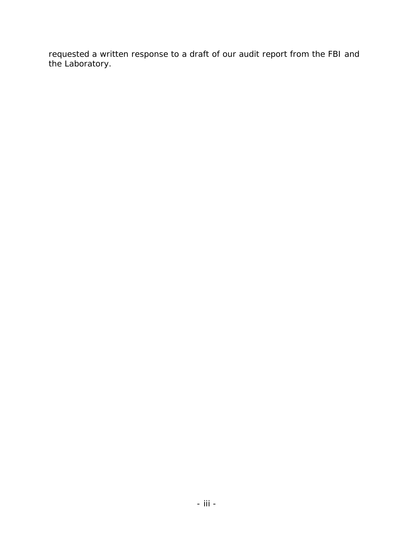requested a written response to a draft of our audit report from the FBI and the Laboratory.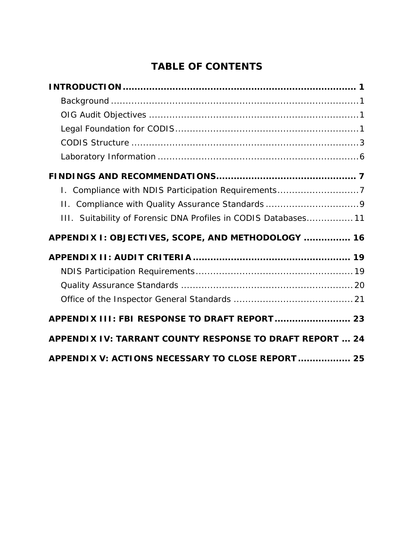# **TABLE OF CONTENTS**

| I. Compliance with NDIS Participation Requirements7             |
|-----------------------------------------------------------------|
|                                                                 |
| III. Suitability of Forensic DNA Profiles in CODIS Databases 11 |
|                                                                 |
| APPENDIX I: OBJECTIVES, SCOPE, AND METHODOLOGY  16              |
|                                                                 |
|                                                                 |
|                                                                 |
|                                                                 |
| APPENDIX III: FBI RESPONSE TO DRAFT REPORT 23                   |
| APPENDIX IV: TARRANT COUNTY RESPONSE TO DRAFT REPORT  24        |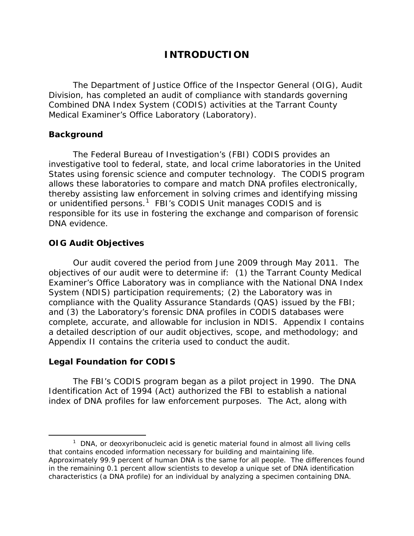## **INTRODUCTION**

<span id="page-5-0"></span>The Department of Justice Office of the Inspector General (OIG), Audit Division, has completed an audit of compliance with standards governing Combined DNA Index System (CODIS) activities at the Tarrant County Medical Examiner's Office Laboratory (Laboratory).

#### <span id="page-5-1"></span>**Background**

The Federal Bureau of Investigation's (FBI) CODIS provides an investigative tool to federal, state, and local crime laboratories in the United States using forensic science and computer technology. The CODIS program allows these laboratories to compare and match DNA profiles electronically, thereby assisting law enforcement in solving crimes and identifying missing or unidentified persons.<sup>[1](#page-5-4)</sup> FBI's CODIS Unit manages CODIS and is responsible for its use in fostering the exchange and comparison of forensic DNA evidence.

#### <span id="page-5-2"></span>**OIG Audit Objectives**

Our audit covered the period from June 2009 through May 2011. The objectives of our audit were to determine if: (1) the Tarrant County Medical Examiner's Office Laboratory was in compliance with the National DNA Index System (NDIS) participation requirements; (2) the Laboratory was in compliance with the Quality Assurance Standards (QAS) issued by the FBI; and (3) the Laboratory's forensic DNA profiles in CODIS databases were complete, accurate, and allowable for inclusion in NDIS. Appendix I contains a detailed description of our audit objectives, scope, and methodology; and Appendix II contains the criteria used to conduct the audit.

#### <span id="page-5-3"></span>**Legal Foundation for CODIS**

The FBI's CODIS program began as a pilot project in 1990. The DNA Identification Act of 1994 (Act) authorized the FBI to establish a national index of DNA profiles for law enforcement purposes. The Act, along with

<span id="page-5-4"></span> $1$  DNA, or deoxyribonucleic acid is genetic material found in almost all living cells that contains encoded information necessary for building and maintaining life. Approximately 99.9 percent of human DNA is the same for all people. The differences found in the remaining 0.1 percent allow scientists to develop a unique set of DNA identification characteristics (a DNA profile) for an individual by analyzing a specimen containing DNA.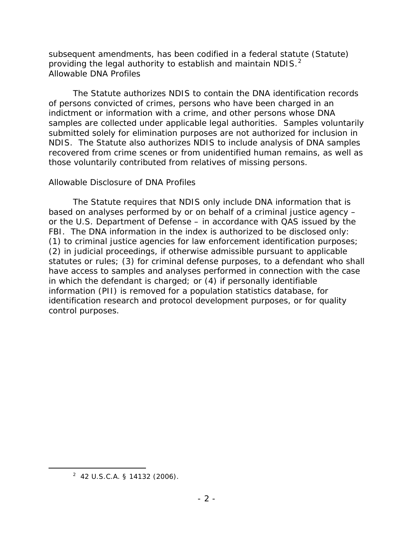subsequent amendments, has been codified in a federal statute (Statute) providing the legal authority to establish and maintain NDIS.<sup>[2](#page-6-0)</sup> *Allowable DNA Profiles*

The Statute authorizes NDIS to contain the DNA identification records of persons convicted of crimes, persons who have been charged in an indictment or information with a crime, and other persons whose DNA samples are collected under applicable legal authorities. Samples voluntarily submitted solely for elimination purposes are not authorized for inclusion in NDIS. The Statute also authorizes NDIS to include analysis of DNA samples recovered from crime scenes or from unidentified human remains, as well as those voluntarily contributed from relatives of missing persons.

#### *Allowable Disclosure of DNA Profiles*

The Statute requires that NDIS only include DNA information that is based on analyses performed by or on behalf of a criminal justice agency – or the U.S. Department of Defense – in accordance with QAS issued by the FBI. The DNA information in the index is authorized to be disclosed only: (1) to criminal justice agencies for law enforcement identification purposes; (2) in judicial proceedings, if otherwise admissible pursuant to applicable statutes or rules; (3) for criminal defense purposes, to a defendant who shall have access to samples and analyses performed in connection with the case in which the defendant is charged; or (4) if personally identifiable information (PII) is removed for a population statistics database, for identification research and protocol development purposes, or for quality control purposes.

<span id="page-6-0"></span> <sup>2</sup> 42 U.S.C.A. § 14132 (2006).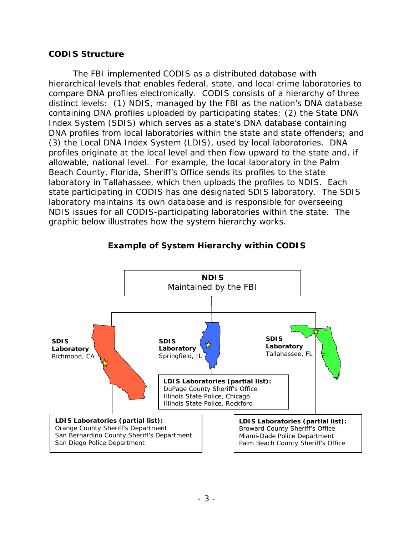#### <span id="page-7-0"></span>**CODIS Structure**

The FBI implemented CODIS as a distributed database with hierarchical levels that enables federal, state, and local crime laboratories to compare DNA profiles electronically. CODIS consists of a hierarchy of three distinct levels: (1) NDIS, managed by the FBI as the nation's DNA database containing DNA profiles uploaded by participating states; (2) the State DNA Index System (SDIS) which serves as a state's DNA database containing DNA profiles from local laboratories within the state and state offenders; and (3) the Local DNA Index System (LDIS), used by local laboratories. DNA profiles originate at the local level and then flow upward to the state and, if allowable, national level. For example, the local laboratory in the Palm Beach County, Florida, Sheriff's Office sends its profiles to the state laboratory in Tallahassee, which then uploads the profiles to NDIS. Each state participating in CODIS has one designated SDIS laboratory. The SDIS laboratory maintains its own database and is responsible for overseeing NDIS issues for all CODIS-participating laboratories within the state. The graphic below illustrates how the system hierarchy works.



#### **Example of System Hierarchy within CODIS**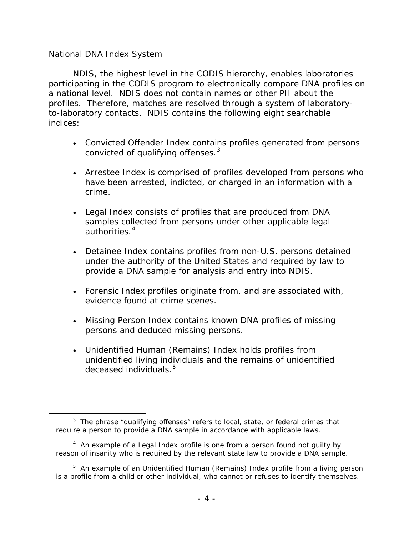#### *National DNA Index System*

 $\overline{a}$ 

NDIS, the highest level in the CODIS hierarchy, enables laboratories participating in the CODIS program to electronically compare DNA profiles on a national level. NDIS does not contain names or other PII about the profiles. Therefore, matches are resolved through a system of laboratoryto-laboratory contacts. NDIS contains the following eight searchable indices:

- Convicted Offender Index contains profiles generated from persons convicted of qualifying offenses.<sup>[3](#page-8-0)</sup>
- Arrestee Index is comprised of profiles developed from persons who have been arrested, indicted, or charged in an information with a crime.
- Legal Index consists of profiles that are produced from DNA samples collected from persons under other applicable legal authorities.<sup>[4](#page-8-1)</sup>
- Detainee Index contains profiles from non-U.S. persons detained under the authority of the United States and required by law to provide a DNA sample for analysis and entry into NDIS.
- Forensic Index profiles originate from, and are associated with, evidence found at crime scenes.
- Missing Person Index contains known DNA profiles of missing persons and deduced missing persons.
- Unidentified Human (Remains) Index holds profiles from unidentified living individuals and the remains of unidentified deceased individuals.<sup>[5](#page-8-2)</sup>

<span id="page-8-0"></span> $3$  The phrase "qualifying offenses" refers to local, state, or federal crimes that require a person to provide a DNA sample in accordance with applicable laws.

<span id="page-8-1"></span><sup>&</sup>lt;sup>4</sup> An example of a Legal Index profile is one from a person found not guilty by reason of insanity who is required by the relevant state law to provide a DNA sample.

<span id="page-8-2"></span><sup>&</sup>lt;sup>5</sup> An example of an Unidentified Human (Remains) Index profile from a living person is a profile from a child or other individual, who cannot or refuses to identify themselves.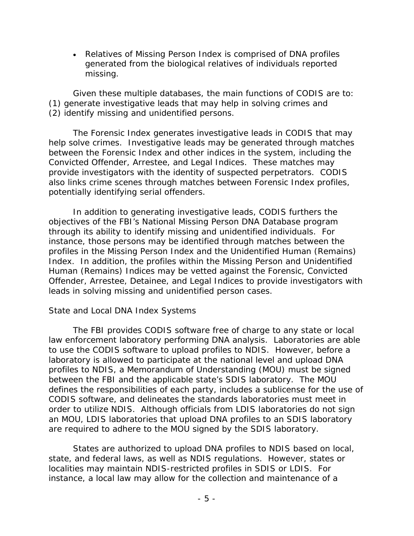• Relatives of Missing Person Index is comprised of DNA profiles generated from the biological relatives of individuals reported missing.

Given these multiple databases, the main functions of CODIS are to: (1) generate investigative leads that may help in solving crimes and (2) identify missing and unidentified persons.

The Forensic Index generates investigative leads in CODIS that may help solve crimes. Investigative leads may be generated through matches between the Forensic Index and other indices in the system, including the Convicted Offender, Arrestee, and Legal Indices. These matches may provide investigators with the identity of suspected perpetrators. CODIS also links crime scenes through matches between Forensic Index profiles, potentially identifying serial offenders.

In addition to generating investigative leads, CODIS furthers the objectives of the FBI's National Missing Person DNA Database program through its ability to identify missing and unidentified individuals. For instance, those persons may be identified through matches between the profiles in the Missing Person Index and the Unidentified Human (Remains) Index. In addition, the profiles within the Missing Person and Unidentified Human (Remains) Indices may be vetted against the Forensic, Convicted Offender, Arrestee, Detainee, and Legal Indices to provide investigators with leads in solving missing and unidentified person cases.

#### *State and Local DNA Index Systems*

The FBI provides CODIS software free of charge to any state or local law enforcement laboratory performing DNA analysis. Laboratories are able to use the CODIS software to upload profiles to NDIS. However, before a laboratory is allowed to participate at the national level and upload DNA profiles to NDIS, a Memorandum of Understanding (MOU) must be signed between the FBI and the applicable state's SDIS laboratory. The MOU defines the responsibilities of each party, includes a sublicense for the use of CODIS software, and delineates the standards laboratories must meet in order to utilize NDIS. Although officials from LDIS laboratories do not sign an MOU, LDIS laboratories that upload DNA profiles to an SDIS laboratory are required to adhere to the MOU signed by the SDIS laboratory.

States are authorized to upload DNA profiles to NDIS based on local, state, and federal laws, as well as NDIS regulations. However, states or localities may maintain NDIS-restricted profiles in SDIS or LDIS. For instance, a local law may allow for the collection and maintenance of a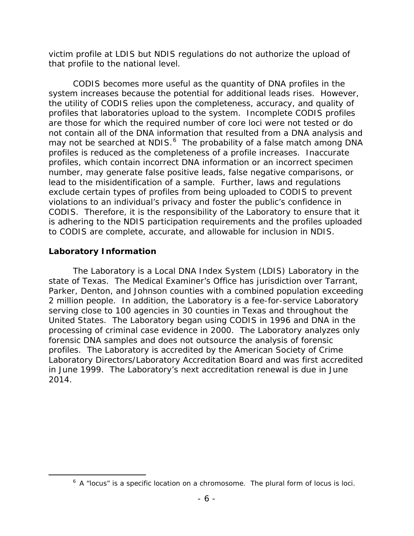victim profile at LDIS but NDIS regulations do not authorize the upload of that profile to the national level.

CODIS becomes more useful as the quantity of DNA profiles in the system increases because the potential for additional leads rises. However, the utility of CODIS relies upon the completeness, accuracy, and quality of profiles that laboratories upload to the system. Incomplete CODIS profiles are those for which the required number of core loci were not tested or do not contain all of the DNA information that resulted from a DNA analysis and may not be searched at NDIS.<sup>[6](#page-10-1)</sup> The probability of a false match among DNA profiles is reduced as the completeness of a profile increases. Inaccurate profiles, which contain incorrect DNA information or an incorrect specimen number, may generate false positive leads, false negative comparisons, or lead to the misidentification of a sample. Further, laws and regulations exclude certain types of profiles from being uploaded to CODIS to prevent violations to an individual's privacy and foster the public's confidence in CODIS. Therefore, it is the responsibility of the Laboratory to ensure that it is adhering to the NDIS participation requirements and the profiles uploaded to CODIS are complete, accurate, and allowable for inclusion in NDIS.

## <span id="page-10-0"></span>**Laboratory Information**

The Laboratory is a Local DNA Index System (LDIS) Laboratory in the state of Texas. The Medical Examiner's Office has jurisdiction over Tarrant, Parker, Denton, and Johnson counties with a combined population exceeding 2 million people. In addition, the Laboratory is a fee-for-service Laboratory serving close to 100 agencies in 30 counties in Texas and throughout the United States. The Laboratory began using CODIS in 1996 and DNA in the processing of criminal case evidence in 2000. The Laboratory analyzes only forensic DNA samples and does not outsource the analysis of forensic profiles. The Laboratory is accredited by the American Society of Crime Laboratory Directors/Laboratory Accreditation Board and was first accredited in June 1999. The Laboratory's next accreditation renewal is due in June 2014.

<span id="page-10-1"></span> $\overline{\phantom{0}}$  $6$  A "locus" is a specific location on a chromosome. The plural form of locus is loci.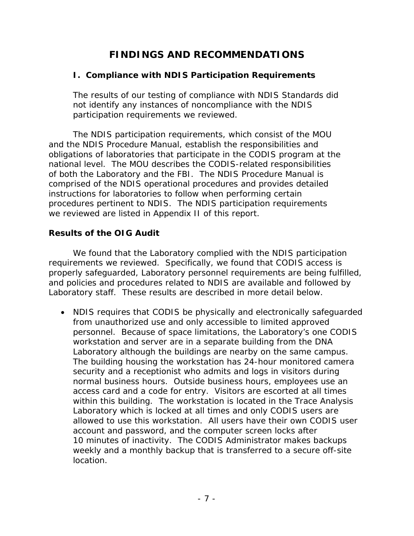# **FINDINGS AND RECOMMENDATIONS**

## <span id="page-11-1"></span><span id="page-11-0"></span>**I. Compliance with NDIS Participation Requirements**

The results of our testing of compliance with NDIS Standards did not identify any instances of noncompliance with the NDIS participation requirements we reviewed.

The NDIS participation requirements, which consist of the MOU and the NDIS Procedure Manual, establish the responsibilities and obligations of laboratories that participate in the CODIS program at the national level. The MOU describes the CODIS-related responsibilities of both the Laboratory and the FBI. The NDIS Procedure Manual is comprised of the NDIS operational procedures and provides detailed instructions for laboratories to follow when performing certain procedures pertinent to NDIS. The NDIS participation requirements we reviewed are listed in Appendix II of this report.

## **Results of the OIG Audit**

We found that the Laboratory complied with the NDIS participation requirements we reviewed. Specifically, we found that CODIS access is properly safeguarded, Laboratory personnel requirements are being fulfilled, and policies and procedures related to NDIS are available and followed by Laboratory staff. These results are described in more detail below.

• NDIS requires that CODIS be physically and electronically safeguarded from unauthorized use and only accessible to limited approved personnel. Because of space limitations, the Laboratory's one CODIS workstation and server are in a separate building from the DNA Laboratory although the buildings are nearby on the same campus. The building housing the workstation has 24-hour monitored camera security and a receptionist who admits and logs in visitors during normal business hours. Outside business hours, employees use an access card and a code for entry. Visitors are escorted at all times within this building. The workstation is located in the Trace Analysis Laboratory which is locked at all times and only CODIS users are allowed to use this workstation. All users have their own CODIS user account and password, and the computer screen locks after 10 minutes of inactivity. The CODIS Administrator makes backups weekly and a monthly backup that is transferred to a secure off-site location.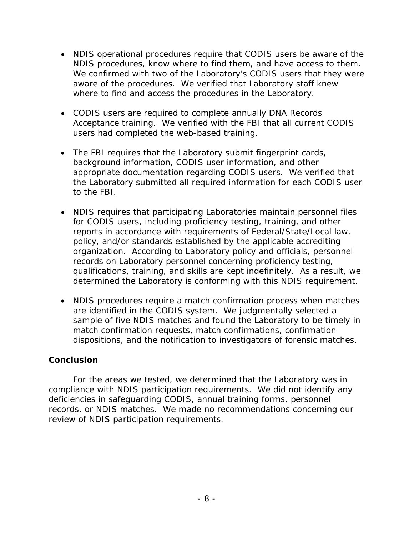- NDIS operational procedures require that CODIS users be aware of the NDIS procedures, know where to find them, and have access to them. We confirmed with two of the Laboratory's CODIS users that they were aware of the procedures. We verified that Laboratory staff knew where to find and access the procedures in the Laboratory.
- CODIS users are required to complete annually DNA Records Acceptance training. We verified with the FBI that all current CODIS users had completed the web-based training.
- The FBI requires that the Laboratory submit fingerprint cards, background information, CODIS user information, and other appropriate documentation regarding CODIS users. We verified that the Laboratory submitted all required information for each CODIS user to the FBI.
- NDIS requires that participating Laboratories maintain personnel files for CODIS users, including proficiency testing, training, and other reports in accordance with requirements of Federal/State/Local law, policy, and/or standards established by the applicable accrediting organization. According to Laboratory policy and officials, personnel records on Laboratory personnel concerning proficiency testing, qualifications, training, and skills are kept indefinitely. As a result, we determined the Laboratory is conforming with this NDIS requirement.
- NDIS procedures require a match confirmation process when matches are identified in the CODIS system. We judgmentally selected a sample of five NDIS matches and found the Laboratory to be timely in match confirmation requests, match confirmations, confirmation dispositions, and the notification to investigators of forensic matches.

#### **Conclusion**

For the areas we tested, we determined that the Laboratory was in compliance with NDIS participation requirements. We did not identify any deficiencies in safeguarding CODIS, annual training forms, personnel records, or NDIS matches. We made no recommendations concerning our review of NDIS participation requirements.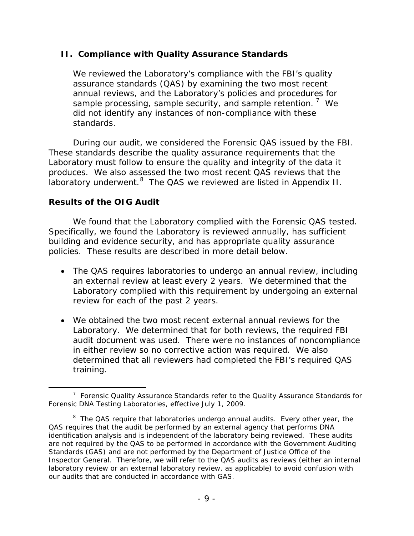### <span id="page-13-0"></span>**II. Compliance with Quality Assurance Standards**

We reviewed the Laboratory's compliance with the FBI's quality assurance standards (QAS) by examining the two most recent annual reviews, and the Laboratory's policies and procedures for sample processing, sample security, and sample retention.  $7$  We did not identify any instances of non-compliance with these standards.

During our audit, we considered the Forensic QAS issued by the FBI. These standards describe the quality assurance requirements that the Laboratory must follow to ensure the quality and integrity of the data it produces. We also assessed the two most recent QAS reviews that the .<br>laboratory underwent.<sup>[8](#page-13-2)</sup> The QAS we reviewed are listed in Appendix II.

## **Results of the OIG Audit**

We found that the Laboratory complied with the Forensic QAS tested. Specifically, we found the Laboratory is reviewed annually, has sufficient building and evidence security, and has appropriate quality assurance policies. These results are described in more detail below.

- The QAS requires laboratories to undergo an annual review, including an external review at least every 2 years. We determined that the Laboratory complied with this requirement by undergoing an external review for each of the past 2 years.
- We obtained the two most recent external annual reviews for the Laboratory. We determined that for both reviews, the required FBI audit document was used. There were no instances of noncompliance in either review so no corrective action was required. We also determined that all reviewers had completed the FBI's required QAS training.

<span id="page-13-1"></span> <sup>7</sup>  $7$  Forensic Quality Assurance Standards refer to the Quality Assurance Standards for Forensic DNA Testing Laboratories, effective July 1, 2009.

<span id="page-13-2"></span><sup>&</sup>lt;sup>8</sup> The QAS require that laboratories undergo annual audits. Every other year, the QAS requires that the audit be performed by an external agency that performs DNA identification analysis and is independent of the laboratory being reviewed. These audits are not required by the QAS to be performed in accordance with the *Government Auditing Standards* (GAS) and are not performed by the Department of Justice Office of the Inspector General. Therefore, we will refer to the QAS audits as reviews (either an internal laboratory review or an external laboratory review, as applicable) to avoid confusion with our audits that are conducted in accordance with GAS.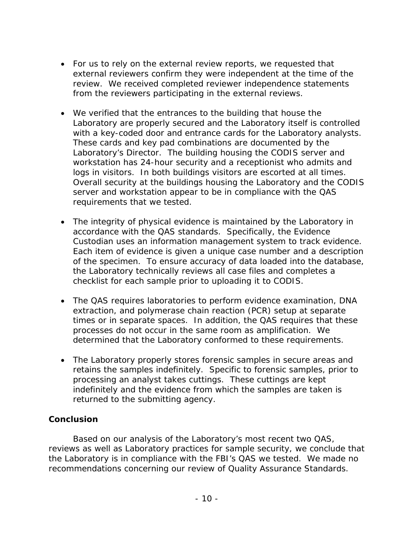- For us to rely on the external review reports, we requested that external reviewers confirm they were independent at the time of the review. We received completed reviewer independence statements from the reviewers participating in the external reviews.
- We verified that the entrances to the building that house the Laboratory are properly secured and the Laboratory itself is controlled with a key-coded door and entrance cards for the Laboratory analysts. These cards and key pad combinations are documented by the Laboratory's Director. The building housing the CODIS server and workstation has 24-hour security and a receptionist who admits and logs in visitors. In both buildings visitors are escorted at all times. Overall security at the buildings housing the Laboratory and the CODIS server and workstation appear to be in compliance with the QAS requirements that we tested.
- The integrity of physical evidence is maintained by the Laboratory in accordance with the QAS standards. Specifically, the Evidence Custodian uses an information management system to track evidence. Each item of evidence is given a unique case number and a description of the specimen. To ensure accuracy of data loaded into the database, the Laboratory technically reviews all case files and completes a checklist for each sample prior to uploading it to CODIS.
- The QAS requires laboratories to perform evidence examination, DNA extraction, and polymerase chain reaction (PCR) setup at separate times or in separate spaces. In addition, the QAS requires that these processes do not occur in the same room as amplification. We determined that the Laboratory conformed to these requirements.
- The Laboratory properly stores forensic samples in secure areas and retains the samples indefinitely. Specific to forensic samples, prior to processing an analyst takes cuttings. These cuttings are kept indefinitely and the evidence from which the samples are taken is returned to the submitting agency.

## **Conclusion**

Based on our analysis of the Laboratory's most recent two QAS, reviews as well as Laboratory practices for sample security, we conclude that the Laboratory is in compliance with the FBI's QAS we tested. We made no recommendations concerning our review of Quality Assurance Standards.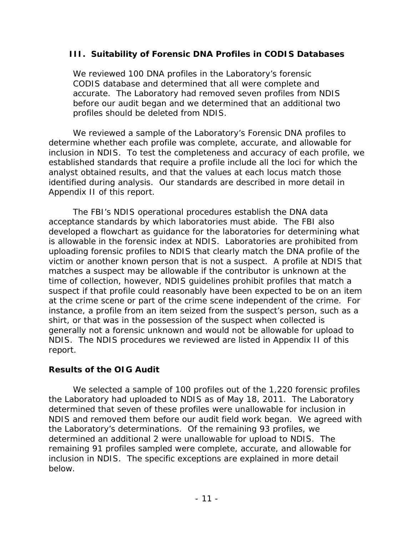## <span id="page-15-0"></span>**III. Suitability of Forensic DNA Profiles in CODIS Databases**

We reviewed 100 DNA profiles in the Laboratory's forensic CODIS database and determined that all were complete and accurate. The Laboratory had removed seven profiles from NDIS before our audit began and we determined that an additional two profiles should be deleted from NDIS.

We reviewed a sample of the Laboratory's Forensic DNA profiles to determine whether each profile was complete, accurate, and allowable for inclusion in NDIS. To test the completeness and accuracy of each profile, we established standards that require a profile include all the loci for which the analyst obtained results, and that the values at each locus match those identified during analysis. Our standards are described in more detail in Appendix II of this report.

The FBI's NDIS operational procedures establish the DNA data acceptance standards by which laboratories must abide. The FBI also developed a flowchart as guidance for the laboratories for determining what is allowable in the forensic index at NDIS. Laboratories are prohibited from uploading forensic profiles to NDIS that clearly match the DNA profile of the victim or another known person that is not a suspect. A profile at NDIS that matches a suspect may be allowable if the contributor is unknown at the time of collection, however, NDIS guidelines prohibit profiles that match a suspect if that profile could reasonably have been expected to be on an item at the crime scene or part of the crime scene independent of the crime. For instance, a profile from an item seized from the suspect's person, such as a shirt, or that was in the possession of the suspect when collected is generally not a forensic unknown and would not be allowable for upload to NDIS. The NDIS procedures we reviewed are listed in Appendix II of this report.

#### **Results of the OIG Audit**

We selected a sample of 100 profiles out of the 1,220 forensic profiles the Laboratory had uploaded to NDIS as of May 18, 2011. The Laboratory determined that seven of these profiles were unallowable for inclusion in NDIS and removed them before our audit field work began. We agreed with the Laboratory's determinations. Of the remaining 93 profiles, we determined an additional 2 were unallowable for upload to NDIS. The remaining 91 profiles sampled were complete, accurate, and allowable for inclusion in NDIS. The specific exceptions are explained in more detail below.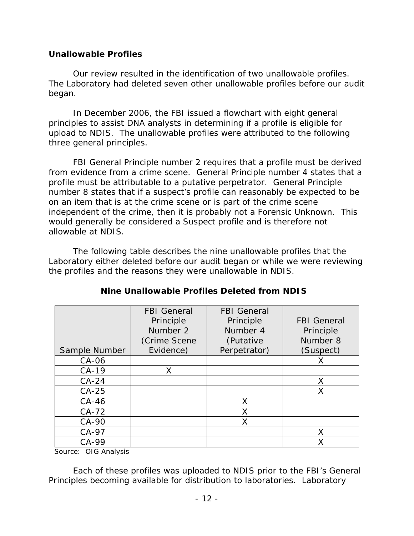## **Unallowable Profiles**

Our review resulted in the identification of two unallowable profiles. The Laboratory had deleted seven other unallowable profiles before our audit began.

In December 2006, the FBI issued a flowchart with eight general principles to assist DNA analysts in determining if a profile is eligible for upload to NDIS. The unallowable profiles were attributed to the following three general principles.

FBI General Principle number 2 requires that a profile must be derived from evidence from a crime scene. General Principle number 4 states that a profile must be attributable to a putative perpetrator. General Principle number 8 states that if a suspect's profile can reasonably be expected to be on an item that is at the crime scene or is part of the crime scene independent of the crime, then it is probably not a Forensic Unknown. This would generally be considered a Suspect profile and is therefore not allowable at NDIS.

The following table describes the nine unallowable profiles that the Laboratory either deleted before our audit began or while we were reviewing the profiles and the reasons they were unallowable in NDIS.

|               | <b>FBI</b> General | <b>FBI</b> General |                    |
|---------------|--------------------|--------------------|--------------------|
|               | Principle          | Principle          | <b>FBI</b> General |
|               | Number 2           | Number 4           | Principle          |
|               | (Crime Scene       | (Putative          | Number 8           |
| Sample Number | Evidence)          | Perpetrator)       | (Suspect)          |
| $CA-06$       |                    |                    |                    |
| $CA-19$       | X                  |                    |                    |
| $CA-24$       |                    |                    |                    |
| $CA-25$       |                    |                    |                    |
| $CA-46$       |                    | X                  |                    |
| $CA-72$       |                    | X                  |                    |
| $CA-90$       |                    | X                  |                    |
| $CA-97$       |                    |                    |                    |
| $CA-99$       |                    |                    |                    |

## **Nine Unallowable Profiles Deleted from NDIS**

Source: OIG Analysis

Each of these profiles was uploaded to NDIS prior to the FBI's General Principles becoming available for distribution to laboratories. Laboratory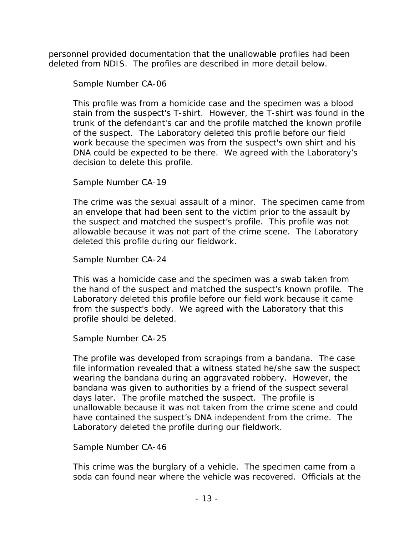personnel provided documentation that the unallowable profiles had been deleted from NDIS. The profiles are described in more detail below.

## *Sample Number CA-06*

This profile was from a homicide case and the specimen was a blood stain from the suspect's T-shirt. However, the T-shirt was found in the trunk of the defendant's car and the profile matched the known profile of the suspect. The Laboratory deleted this profile before our field work because the specimen was from the suspect's own shirt and his DNA could be expected to be there. We agreed with the Laboratory's decision to delete this profile.

## *Sample Number CA-19*

The crime was the sexual assault of a minor. The specimen came from an envelope that had been sent to the victim prior to the assault by the suspect and matched the suspect's profile. This profile was not allowable because it was not part of the crime scene. The Laboratory deleted this profile during our fieldwork.

## *Sample Number CA-24*

This was a homicide case and the specimen was a swab taken from the hand of the suspect and matched the suspect's known profile. The Laboratory deleted this profile before our field work because it came from the suspect's body. We agreed with the Laboratory that this profile should be deleted.

## *Sample Number CA-25*

The profile was developed from scrapings from a bandana. The case file information revealed that a witness stated he/she saw the suspect wearing the bandana during an aggravated robbery. However, the bandana was given to authorities by a friend of the suspect several days later. The profile matched the suspect. The profile is unallowable because it was not taken from the crime scene and could have contained the suspect's DNA independent from the crime. The Laboratory deleted the profile during our fieldwork.

#### *Sample Number CA-46*

This crime was the burglary of a vehicle. The specimen came from a soda can found near where the vehicle was recovered. Officials at the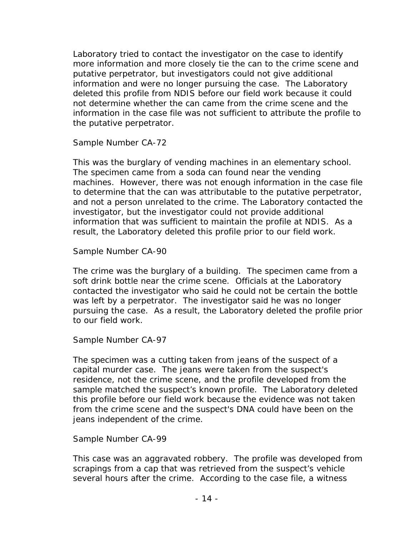Laboratory tried to contact the investigator on the case to identify more information and more closely tie the can to the crime scene and putative perpetrator, but investigators could not give additional information and were no longer pursuing the case. The Laboratory deleted this profile from NDIS before our field work because it could not determine whether the can came from the crime scene and the information in the case file was not sufficient to attribute the profile to the putative perpetrator.

## *Sample Number CA-72*

This was the burglary of vending machines in an elementary school. The specimen came from a soda can found near the vending machines. However, there was not enough information in the case file to determine that the can was attributable to the putative perpetrator, and not a person unrelated to the crime. The Laboratory contacted the investigator, but the investigator could not provide additional information that was sufficient to maintain the profile at NDIS. As a result, the Laboratory deleted this profile prior to our field work.

## *Sample Number CA-90*

The crime was the burglary of a building. The specimen came from a soft drink bottle near the crime scene. Officials at the Laboratory contacted the investigator who said he could not be certain the bottle was left by a perpetrator. The investigator said he was no longer pursuing the case. As a result, the Laboratory deleted the profile prior to our field work.

## *Sample Number CA-97*

The specimen was a cutting taken from jeans of the suspect of a capital murder case. The jeans were taken from the suspect's residence, not the crime scene, and the profile developed from the sample matched the suspect's known profile. The Laboratory deleted this profile before our field work because the evidence was not taken from the crime scene and the suspect's DNA could have been on the jeans independent of the crime.

#### *Sample Number CA-99*

This case was an aggravated robbery. The profile was developed from scrapings from a cap that was retrieved from the suspect's vehicle several hours after the crime. According to the case file, a witness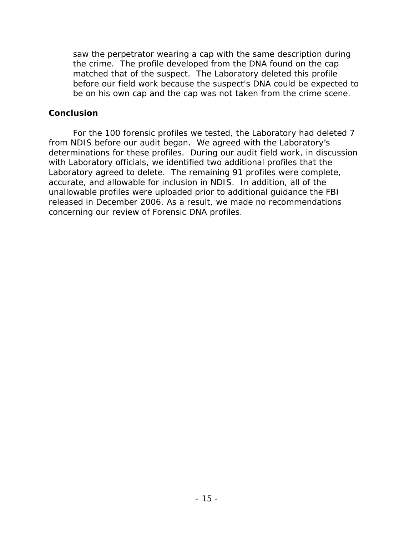saw the perpetrator wearing a cap with the same description during the crime. The profile developed from the DNA found on the cap matched that of the suspect. The Laboratory deleted this profile before our field work because the suspect's DNA could be expected to be on his own cap and the cap was not taken from the crime scene.

#### **Conclusion**

For the 100 forensic profiles we tested, the Laboratory had deleted 7 from NDIS before our audit began. We agreed with the Laboratory's determinations for these profiles. During our audit field work, in discussion with Laboratory officials, we identified two additional profiles that the Laboratory agreed to delete. The remaining 91 profiles were complete, accurate, and allowable for inclusion in NDIS. In addition, all of the unallowable profiles were uploaded prior to additional guidance the FBI released in December 2006. As a result, we made no recommendations concerning our review of Forensic DNA profiles.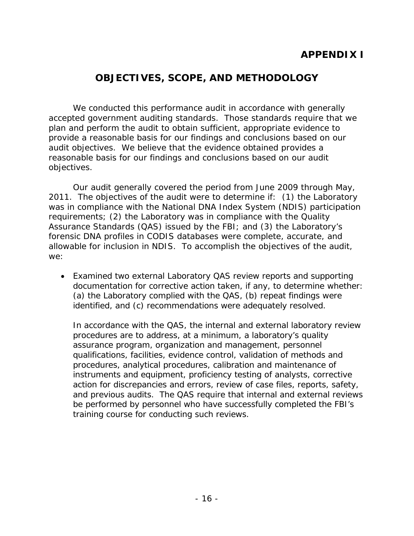# **APPENDIX I**

# **OBJECTIVES, SCOPE, AND METHODOLOGY**

<span id="page-20-0"></span>We conducted this performance audit in accordance with generally accepted government auditing standards. Those standards require that we plan and perform the audit to obtain sufficient, appropriate evidence to provide a reasonable basis for our findings and conclusions based on our audit objectives. We believe that the evidence obtained provides a reasonable basis for our findings and conclusions based on our audit objectives.

Our audit generally covered the period from June 2009 through May, 2011. The objectives of the audit were to determine if: (1) the Laboratory was in compliance with the National DNA Index System (NDIS) participation requirements; (2) the Laboratory was in compliance with the Quality Assurance Standards (QAS) issued by the FBI; and (3) the Laboratory's forensic DNA profiles in CODIS databases were complete, accurate, and allowable for inclusion in NDIS. To accomplish the objectives of the audit, we:

• Examined two external Laboratory QAS review reports and supporting documentation for corrective action taken, if any, to determine whether: (a) the Laboratory complied with the QAS, (b) repeat findings were identified, and (c) recommendations were adequately resolved.

In accordance with the QAS, the internal and external laboratory review procedures are to address, at a minimum, a laboratory's quality assurance program, organization and management, personnel qualifications, facilities, evidence control, validation of methods and procedures, analytical procedures, calibration and maintenance of instruments and equipment, proficiency testing of analysts, corrective action for discrepancies and errors, review of case files, reports, safety, and previous audits. The QAS require that internal and external reviews be performed by personnel who have successfully completed the FBI's training course for conducting such reviews.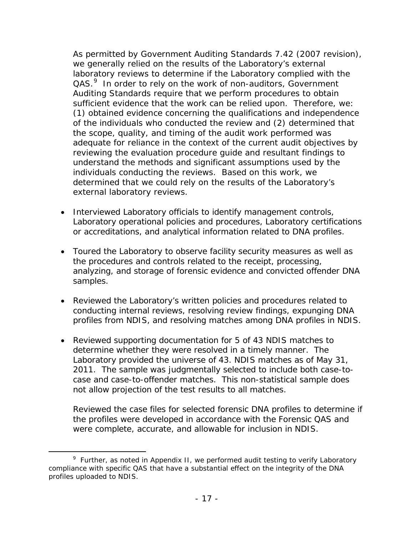As permitted by Government Auditing Standards 7.42 (2007 revision), we generally relied on the results of the Laboratory's external laboratory reviews to determine if the Laboratory complied with the QAS.<sup>[9](#page-21-0)</sup> In order to rely on the work of non-auditors, Government Auditing Standards require that we perform procedures to obtain sufficient evidence that the work can be relied upon. Therefore, we: (1) obtained evidence concerning the qualifications and independence of the individuals who conducted the review and (2) determined that the scope, quality, and timing of the audit work performed was adequate for reliance in the context of the current audit objectives by reviewing the evaluation procedure guide and resultant findings to understand the methods and significant assumptions used by the individuals conducting the reviews. Based on this work, we determined that we could rely on the results of the Laboratory's external laboratory reviews.

- Interviewed Laboratory officials to identify management controls, Laboratory operational policies and procedures, Laboratory certifications or accreditations, and analytical information related to DNA profiles.
- Toured the Laboratory to observe facility security measures as well as the procedures and controls related to the receipt, processing, analyzing, and storage of forensic evidence and convicted offender DNA samples.
- Reviewed the Laboratory's written policies and procedures related to conducting internal reviews, resolving review findings, expunging DNA profiles from NDIS, and resolving matches among DNA profiles in NDIS.
- Reviewed supporting documentation for 5 of 43 NDIS matches to determine whether they were resolved in a timely manner. The Laboratory provided the universe of 43. NDIS matches as of May 31, 2011. The sample was judgmentally selected to include both case-tocase and case-to-offender matches. This non-statistical sample does not allow projection of the test results to all matches.

Reviewed the case files for selected forensic DNA profiles to determine if the profiles were developed in accordance with the Forensic QAS and were complete, accurate, and allowable for inclusion in NDIS.

<span id="page-21-0"></span> $\frac{1}{\sqrt{9}}$  $9$  Further, as noted in Appendix II, we performed audit testing to verify Laboratory compliance with specific QAS that have a substantial effect on the integrity of the DNA profiles uploaded to NDIS.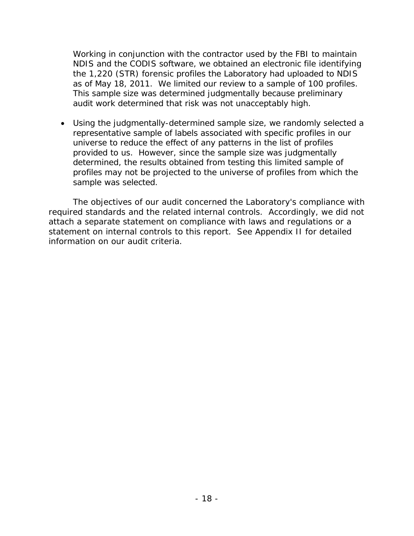Working in conjunction with the contractor used by the FBI to maintain NDIS and the CODIS software, we obtained an electronic file identifying the 1,220 (STR) forensic profiles the Laboratory had uploaded to NDIS as of May 18, 2011. We limited our review to a sample of 100 profiles. This sample size was determined judgmentally because preliminary audit work determined that risk was not unacceptably high.

• Using the judgmentally-determined sample size, we randomly selected a representative sample of labels associated with specific profiles in our universe to reduce the effect of any patterns in the list of profiles provided to us. However, since the sample size was judgmentally determined, the results obtained from testing this limited sample of profiles may not be projected to the universe of profiles from which the sample was selected.

The objectives of our audit concerned the Laboratory's compliance with required standards and the related internal controls. Accordingly, we did not attach a separate statement on compliance with laws and regulations or a statement on internal controls to this report. See Appendix II for detailed information on our audit criteria.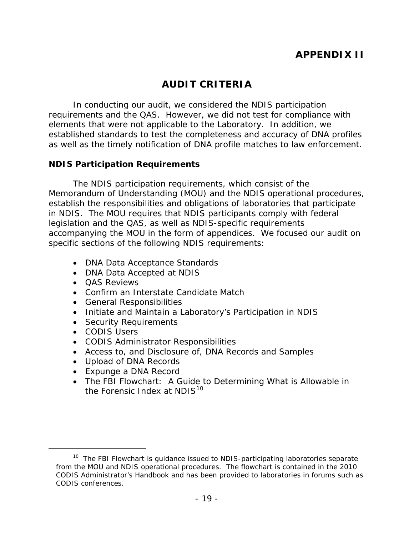# **APPENDIX II**

# **AUDIT CRITERIA**

<span id="page-23-0"></span>In conducting our audit, we considered the NDIS participation requirements and the QAS. However, we did not test for compliance with elements that were not applicable to the Laboratory. In addition, we established standards to test the completeness and accuracy of DNA profiles as well as the timely notification of DNA profile matches to law enforcement.

#### <span id="page-23-1"></span>**NDIS Participation Requirements**

The NDIS participation requirements, which consist of the Memorandum of Understanding (MOU) and the NDIS operational procedures, establish the responsibilities and obligations of laboratories that participate in NDIS. The MOU requires that NDIS participants comply with federal legislation and the QAS, as well as NDIS-specific requirements accompanying the MOU in the form of appendices. We focused our audit on specific sections of the following NDIS requirements:

- DNA Data Acceptance Standards
- DNA Data Accepted at NDIS
- QAS Reviews
- Confirm an Interstate Candidate Match
- General Responsibilities
- Initiate and Maintain a Laboratory's Participation in NDIS
- Security Requirements
- CODIS Users
- CODIS Administrator Responsibilities
- Access to, and Disclosure of, DNA Records and Samples
- Upload of DNA Records
- Expunge a DNA Record
- The FBI Flowchart: A Guide to Determining What is Allowable in the Forensic Index at  $NDIS<sup>10</sup>$  $NDIS<sup>10</sup>$  $NDIS<sup>10</sup>$

<span id="page-23-2"></span><sup>&</sup>lt;sup>10</sup> The FBI Flowchart is guidance issued to NDIS-participating laboratories separate from the MOU and NDIS operational procedures. The flowchart is contained in the 2010 CODIS Administrator's Handbook and has been provided to laboratories in forums such as CODIS conferences.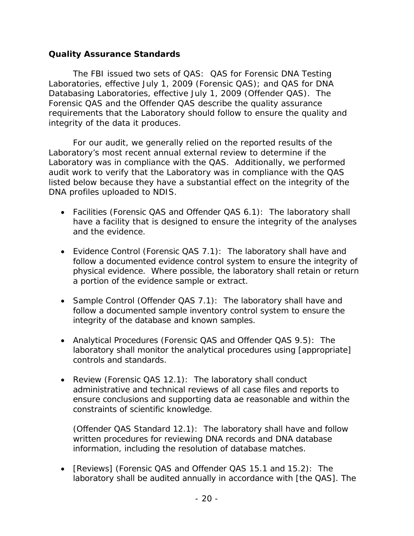#### <span id="page-24-0"></span>**Quality Assurance Standards**

The FBI issued two sets of QAS: QAS for Forensic DNA Testing Laboratories, effective July 1, 2009 (Forensic QAS); and QAS for DNA Databasing Laboratories, effective July 1, 2009 (Offender QAS). The Forensic QAS and the Offender QAS describe the quality assurance requirements that the Laboratory should follow to ensure the quality and integrity of the data it produces.

For our audit, we generally relied on the reported results of the Laboratory's most recent annual external review to determine if the Laboratory was in compliance with the QAS. Additionally, we performed audit work to verify that the Laboratory was in compliance with the QAS listed below because they have a substantial effect on the integrity of the DNA profiles uploaded to NDIS.

- Facilities (Forensic QAS and Offender QAS 6.1): The laboratory shall have a facility that is designed to ensure the integrity of the analyses and the evidence.
- Evidence Control (Forensic QAS 7.1): The laboratory shall have and follow a documented evidence control system to ensure the integrity of physical evidence. Where possible, the laboratory shall retain or return a portion of the evidence sample or extract.
- Sample Control (Offender QAS 7.1): The laboratory shall have and follow a documented sample inventory control system to ensure the integrity of the database and known samples.
- Analytical Procedures (Forensic QAS and Offender QAS 9.5): The laboratory shall monitor the analytical procedures using [appropriate] controls and standards.
- Review (Forensic QAS 12.1): The laboratory shall conduct administrative and technical reviews of all case files and reports to ensure conclusions and supporting data ae reasonable and within the constraints of scientific knowledge.

(Offender QAS Standard 12.1): The laboratory shall have and follow written procedures for reviewing DNA records and DNA database information, including the resolution of database matches.

• [Reviews] (Forensic QAS and Offender QAS 15.1 and 15.2): The laboratory shall be audited annually in accordance with [the QAS]. The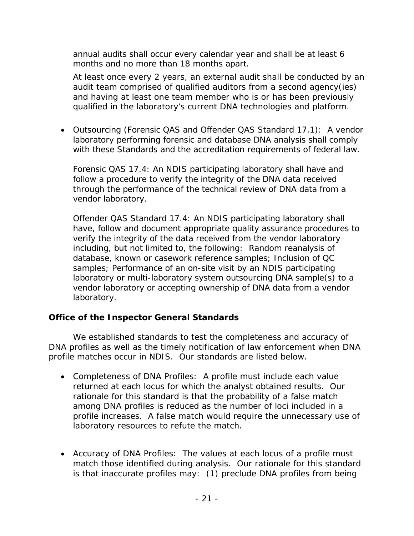annual audits shall occur every calendar year and shall be at least 6 months and no more than 18 months apart.

At least once every 2 years, an external audit shall be conducted by an audit team comprised of qualified auditors from a second agency(ies) and having at least one team member who is or has been previously qualified in the laboratory's current DNA technologies and platform.

• Outsourcing (Forensic QAS and Offender QAS Standard 17.1): A vendor laboratory performing forensic and database DNA analysis shall comply with these Standards and the accreditation requirements of federal law.

Forensic QAS 17.4: An NDIS participating laboratory shall have and follow a procedure to verify the integrity of the DNA data received through the performance of the technical review of DNA data from a vendor laboratory.

Offender QAS Standard 17.4: An NDIS participating laboratory shall have, follow and document appropriate quality assurance procedures to verify the integrity of the data received from the vendor laboratory including, but not limited to, the following: Random reanalysis of database, known or casework reference samples; Inclusion of QC samples; Performance of an on-site visit by an NDIS participating laboratory or multi-laboratory system outsourcing DNA sample(s) to a vendor laboratory or accepting ownership of DNA data from a vendor laboratory.

## <span id="page-25-0"></span>**Office of the Inspector General Standards**

We established standards to test the completeness and accuracy of DNA profiles as well as the timely notification of law enforcement when DNA profile matches occur in NDIS. Our standards are listed below.

- Completeness of DNA Profiles: A profile must include each value returned at each locus for which the analyst obtained results. Our rationale for this standard is that the probability of a false match among DNA profiles is reduced as the number of loci included in a profile increases. A false match would require the unnecessary use of laboratory resources to refute the match.
- Accuracy of DNA Profiles: The values at each locus of a profile must match those identified during analysis. Our rationale for this standard is that inaccurate profiles may: (1) preclude DNA profiles from being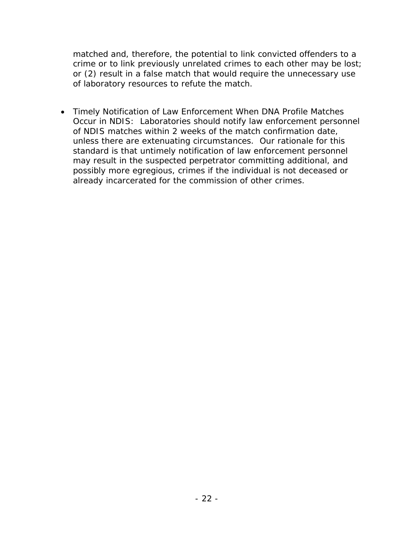matched and, therefore, the potential to link convicted offenders to a crime or to link previously unrelated crimes to each other may be lost; or (2) result in a false match that would require the unnecessary use of laboratory resources to refute the match.

• Timely Notification of Law Enforcement When DNA Profile Matches Occur in NDIS: Laboratories should notify law enforcement personnel of NDIS matches within 2 weeks of the match confirmation date, unless there are extenuating circumstances. Our rationale for this standard is that untimely notification of law enforcement personnel may result in the suspected perpetrator committing additional, and possibly more egregious, crimes if the individual is not deceased or already incarcerated for the commission of other crimes.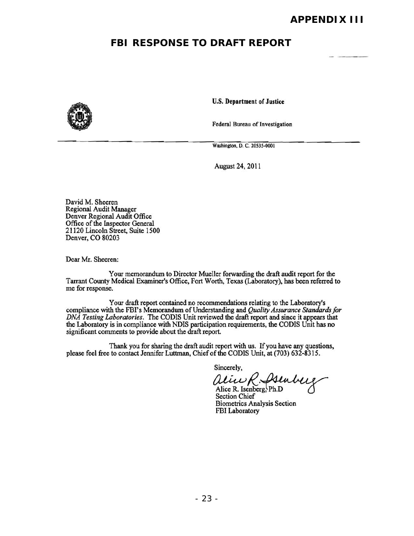## **FBI RESPONSE TO DRAFT REPORT**



U.S. Department of Justice

Federal Bureau of Investigation

Washington, D. C. 20535-0001

August 24, 2011

David M. Sheeren Regional Audit Manager Denver Regional Audit Office Office of the Inspector General 21120 Lincoln Street. Suite 1500 Denver, CO 80203

Dear Mr. Sheeren:

Your memorandum to Director Mueller forwarding the draft audit report for the Tarrant County Medical Examiner's Office, Fort Worth, Texas (Laboratory), has been referred to me for response.

Your draft report contained no recommendations relating to the Laboratory's compliance with the FBI's Memorandum of Understanding and *Quality Assurance Standards for DNA Testing Laboratories.* The CODIS Unit reviewed the draft report and since it appears that the Laboratory is in compliance with NDIS participation requirements, the CODIS Unit has no significant comments to provide about the draft report.

Thank you for sharing the draft audit report with us. If you have any questions, please feel free to contact Jennifer Luttman, Chief of the CODIS Unit, at (703) 632-8315.

Sincerely,

 $\mathcal{U}\mathcal{U}\mathcal{U}\mathcal{K}$ .  $\mathcal{V}\mathcal{U}\mathcal{U}\mathcal{U}\mathcal{U}$ <br>Alice R. Isenberg, Ph.D

Section Chief Biometrics Analysis Section FBI Laboratory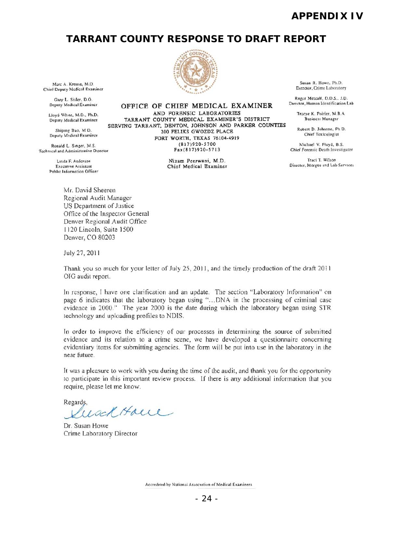## **APPENDIX IV**

#### **TARRANT COUNTY RESPONSE TO DRAFT REPORT**



OFFICE OF CHIEF MEDICAL EXAMINER

FORT WORTH, TEXAS 76104-4919

Marc A. Krouse, M.D.<br>Chief Deputy Medical Examiner

<sup>n</sup> Otye Ie Poi,i ... ,,1 B.A lloyd Wh ,". M.D .. Ph.D. AND PORENSIC LABORATORIES

Shiping Bao, M.D. SERVING TARRANT, DENTON, JOHNSON AND PARKER COUNTIES<br>Deputy Medical Examiner 200 PELLIKS GWOZDZ PLACE<br>Chief Toxicologist<br>Chief Toxicologist

Technical and Administrative Director

Public Information Officer

Mr. David Sheeren Regional Audit Manager US Department of Justice Office of the Inspector General Denver Regional Audit Office

Susan R. Howe, Ph.D.<br>Director, Crime Laboratory<br> $\sum_{n=1}^{\infty}$ .

Gary L. Sisler, D.O.<br>Deputy Medical Examiner **OFFICE OF CHIEF MEDICAL EXAMINER** Director, Human Identification Lab

Ronald L. Singer, M.S. (817)920-5700 Ronald L. Singer, M.S. (817)920-5700 Ronald L. Singer, M.S. (817)920-5700 Ronald Musculand Administrative Direction

Linda F. Anderson **1986** (Nine and The Ninrich Millet Medical **Examiner** (Nilson Traci T. Wilson Traci T. Wilson (Nine Medical **Examiner** (Nilson Peer.) (2014) Director, Morgue and Lab Services.

1120 Lincoln, Suite 1500 Denver, CO 80203

July 27, 2011

Thank you so much for your letter of July 25, 2011, and the timely production of the draft 2011 OIG audit report.

In response, I have one clarification and an update. The section "Laboratory Information" on page 6 indicates that the laboratory began using "... DNA in the processing of criminal case evidence in 2000." The year 2000 is the date during which the laboratory began using STR technology and uploading profiles to NDIS.

In order to improve the efficiency of our processes in determining the source of submitted evidence and its relation to a crime scene, we have developed a questionnaire concerning evidentiary items for submitting agencies. The form will be put into use in the laboratory in the near future.

It was a pleasure to work with you during the time of the audit, and thank you for the opportunity to participate in this important review process. If there is any additional information that you require, please let me know.

Regards,

usch Haue

Dr. Susan Howe Crime Laboratory Director

Accredited by National Association of Medical Examiners